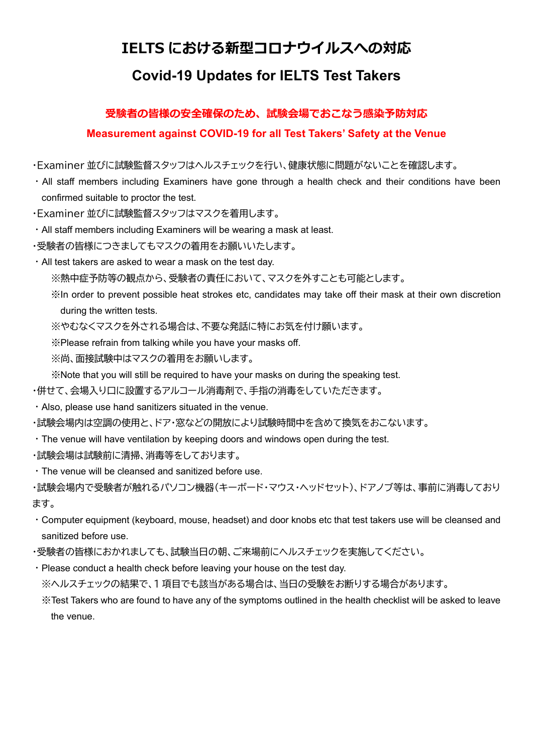## **IELTS における新型コロナウイルスへの対応**

# **Covid-19 Updates for IELTS Test Takers**

### **受験者の皆様の安全確保のため、試験会場でおこなう感染予防対応**

**Measurement against COVID-19 for all Test Takers' Safety at the Venue**

・Examiner 並びに試験監督スタッフはヘルスチェックを行い、健康状態に問題がないことを確認します。

・All staff members including Examiners have gone through a health check and their conditions have been confirmed suitable to proctor the test.

・Examiner 並びに試験監督スタッフはマスクを着用します。

・All staff members including Examiners will be wearing a mask at least.

・受験者の皆様につきましてもマスクの着用をお願いいたします。

・All test takers are asked to wear a mask on the test day.

※熱中症予防等の観点から、受験者の責任において、マスクを外すことも可能とします。

 ※In order to prevent possible heat strokes etc, candidates may take off their mask at their own discretion during the written tests.

※やむなくマスクを外される場合は、不要な発話に特にお気を付け願います。

※Please refrain from talking while you have your masks off.

※尚、面接試験中はマスクの着用をお願いします。

※Note that you will still be required to have your masks on during the speaking test.

・併せて、会場入り口に設置するアルコール消毒剤で、手指の消毒をしていただきます。

・Also, please use hand sanitizers situated in the venue.

・試験会場内は空調の使用と、ドア・窓などの開放により試験時間中を含めて換気をおこないます。

・The venue will have ventilation by keeping doors and windows open during the test.

・試験会場は試験前に清掃、消毒等をしております。

・The venue will be cleansed and sanitized before use.

・試験会場内で受験者が触れるパソコン機器(キーボード・マウス・ヘッドセット)、ドアノブ等は、事前に消毒しており ます。

- ・Computer equipment (keyboard, mouse, headset) and door knobs etc that test takers use will be cleansed and sanitized before use.
- ・受験者の皆様におかれましても、試験当日の朝、ご来場前にヘルスチェックを実施してください。
- ・Please conduct a health check before leaving your house on the test day. ※ヘルスチェックの結果で、1 項目でも該当がある場合は、当日の受験をお断りする場合があります。

※Test Takers who are found to have any of the symptoms outlined in the health checklist will be asked to leave the venue.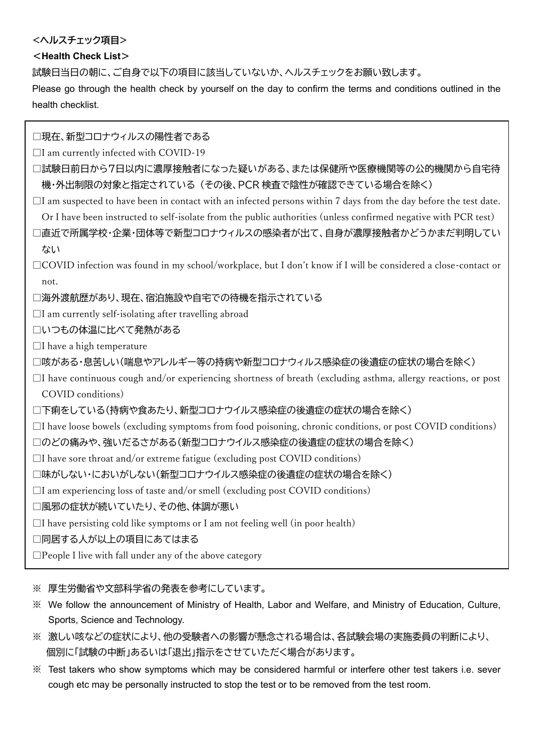### **<ヘルスチェック項目>**

### <**Health Check List**>

試験日当日の朝に、ご自身で以下の項目に該当していないか、ヘルスチェックをお願い致します。

Please go through the health check by yourself on the day to confirm the terms and conditions outlined in the health checklist.

□現在、新型コロナウィルスの陽性者である

 $\Box$ I am currently infected with COVID-19

- □試験日前日から7日以内に濃厚接触者になった疑いがある、または保健所や医療機関等の公的機関から自宅待 機・外出制限の対象と指定されている (その後、PCR 検査で陰性が確認できている場合を除く)
- $\Box$ I am suspected to have been in contact with an infected persons within 7 days from the day before the test date. Or I have been instructed to self-isolate from the public authorities (unless confirmed negative with PCR test)
- □直近で所属学校・企業・団体等で新型コロナウィルスの感染者が出て、自身が濃厚接触者かどうかまだ判明してい ない
- $\Box$ COVID infection was found in my school/workplace, but I don't know if I will be considered a close-contact or not.

□海外渡航歴があり、現在、宿泊施設や自宅での待機を指示されている

 $\Box$ I am currently self-isolating after travelling abroad

□いつもの体温に比べて発熱がある

 $\Box$ I have a high temperature

```
□咳がある・息苦しい(喘息やアレルギー等の持病や新型コロナウィルス感染症の後遺症の症状の場合を除く)
```
 $\Box$ I have continuous cough and/or experiencing shortness of breath (excluding asthma, allergy reactions, or post COVID conditions)

□下痢をしている(持病や食あたり、新型コロナウイルス感染症の後遺症の症状の場合を除く)

 $\Box$ I have loose bowels (excluding symptoms from food poisoning, chronic conditions, or post COVID conditions)

□のどの痛みや、強いだるさがある(新型コロナウイルス感染症の後遺症の症状の場合を除く)

 $\Box$ I have sore throat and/or extreme fatigue (excluding post COVID conditions)

□味がしない・においがしない(新型コロナウイルス感染症の後遺症の症状の場合を除く)

 $\Box$ I am experiencing loss of taste and/or smell (excluding post COVID conditions)

□風邪の症状が続いていたり、その他、体調が悪い

 $\Box$ I have persisting cold like symptoms or I am not feeling well (in poor health)

□同居する人が以上の項目にあてはまる

 $\square$ People I live with fall under any of the above category

※ 厚生労働省や文部科学省の発表を参考にしています。

- ※ We follow the announcement of Ministry of Health, Labor and Welfare, and Ministry of Education, Culture, Sports, Science and Technology.
- ※ 激しい咳などの症状により、他の受験者への影響が懸念される場合は、各試験会場の実施委員の判断により、 個別に「試験の中断」あるいは「退出」指示をさせていただく場合があります。
- ※ Test takers who show symptoms which may be considered harmful or interfere other test takers i.e. sever cough etc may be personally instructed to stop the test or to be removed from the test room.